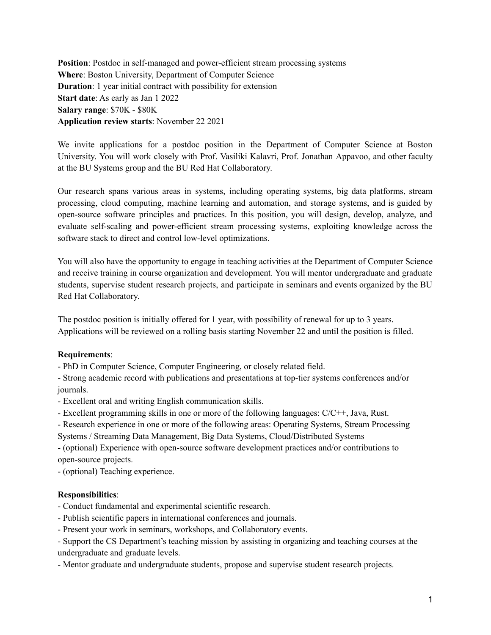**Position**: Postdoc in self-managed and power-efficient stream processing systems **Where**: Boston University, Department of Computer Science **Duration**: 1 year initial contract with possibility for extension **Start date**: As early as Jan 1 2022 **Salary range**: \$70K - \$80K **Application review starts**: November 22 2021

We invite applications for a postdoc position in the Department of Computer Science at Boston University. You will work closely with Prof. Vasiliki Kalavri, Prof. Jonathan Appavoo, and other faculty at the BU Systems group and the BU Red Hat Collaboratory.

Our research spans various areas in systems, including operating systems, big data platforms, stream processing, cloud computing, machine learning and automation, and storage systems, and is guided by open-source software principles and practices. In this position, you will design, develop, analyze, and evaluate self-scaling and power-efficient stream processing systems, exploiting knowledge across the software stack to direct and control low-level optimizations.

You will also have the opportunity to engage in teaching activities at the Department of Computer Science and receive training in course organization and development. You will mentor undergraduate and graduate students, supervise student research projects, and participate in seminars and events organized by the BU Red Hat Collaboratory.

The postdoc position is initially offered for 1 year, with possibility of renewal for up to 3 years. Applications will be reviewed on a rolling basis starting November 22 and until the position is filled.

# **Requirements**:

- PhD in Computer Science, Computer Engineering, or closely related field.

- Strong academic record with publications and presentations at top-tier systems conferences and/or journals.

- Excellent oral and writing English communication skills.

- Excellent programming skills in one or more of the following languages: C/C++, Java, Rust.

- Research experience in one or more of the following areas: Operating Systems, Stream Processing

Systems / Streaming Data Management, Big Data Systems, Cloud/Distributed Systems

- (optional) Experience with open-source software development practices and/or contributions to open-source projects.

- (optional) Teaching experience.

# **Responsibilities**:

- Conduct fundamental and experimental scientific research.

- Publish scientific papers in international conferences and journals.

- Present your work in seminars, workshops, and Collaboratory events.

- Support the CS Department's teaching mission by assisting in organizing and teaching courses at the undergraduate and graduate levels.

- Mentor graduate and undergraduate students, propose and supervise student research projects.